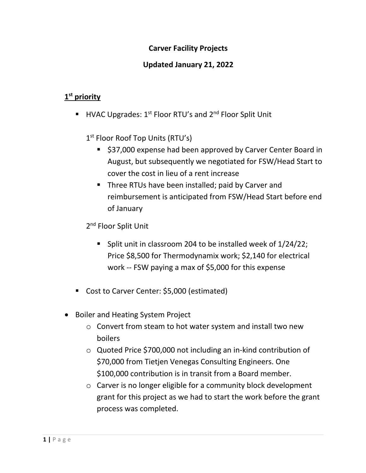## **Carver Facility Projects**

### **Updated January 21, 2022**

## **1 st priority**

**■** HVAC Upgrades:  $1^{st}$  Floor RTU's and  $2^{nd}$  Floor Split Unit

1<sup>st</sup> Floor Roof Top Units (RTU's)

- \$37,000 expense had been approved by Carver Center Board in August, but subsequently we negotiated for FSW/Head Start to cover the cost in lieu of a rent increase
- Three RTUs have been installed; paid by Carver and reimbursement is anticipated from FSW/Head Start before end of January

2<sup>nd</sup> Floor Split Unit

- Split unit in classroom 204 to be installed week of 1/24/22; Price \$8,500 for Thermodynamix work; \$2,140 for electrical work -- FSW paying a max of \$5,000 for this expense
- Cost to Carver Center: \$5,000 (estimated)
- Boiler and Heating System Project
	- o Convert from steam to hot water system and install two new boilers
	- o Quoted Price \$700,000 not including an in-kind contribution of \$70,000 from Tietjen Venegas Consulting Engineers. One \$100,000 contribution is in transit from a Board member.
	- o Carver is no longer eligible for a community block development grant for this project as we had to start the work before the grant process was completed.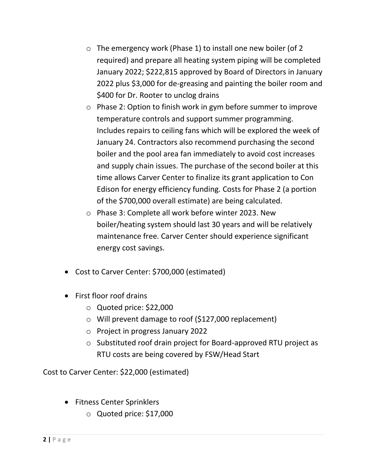- o The emergency work (Phase 1) to install one new boiler (of 2 required) and prepare all heating system piping will be completed January 2022; \$222,815 approved by Board of Directors in January 2022 plus \$3,000 for de-greasing and painting the boiler room and \$400 for Dr. Rooter to unclog drains
- o Phase 2: Option to finish work in gym before summer to improve temperature controls and support summer programming. Includes repairs to ceiling fans which will be explored the week of January 24. Contractors also recommend purchasing the second boiler and the pool area fan immediately to avoid cost increases and supply chain issues. The purchase of the second boiler at this time allows Carver Center to finalize its grant application to Con Edison for energy efficiency funding. Costs for Phase 2 (a portion of the \$700,000 overall estimate) are being calculated.
- o Phase 3: Complete all work before winter 2023. New boiler/heating system should last 30 years and will be relatively maintenance free. Carver Center should experience significant energy cost savings.
- Cost to Carver Center: \$700,000 (estimated)
- First floor roof drains
	- o Quoted price: \$22,000
	- o Will prevent damage to roof (\$127,000 replacement)
	- o Project in progress January 2022
	- o Substituted roof drain project for Board-approved RTU project as RTU costs are being covered by FSW/Head Start

Cost to Carver Center: \$22,000 (estimated)

- Fitness Center Sprinklers
	- o Quoted price: \$17,000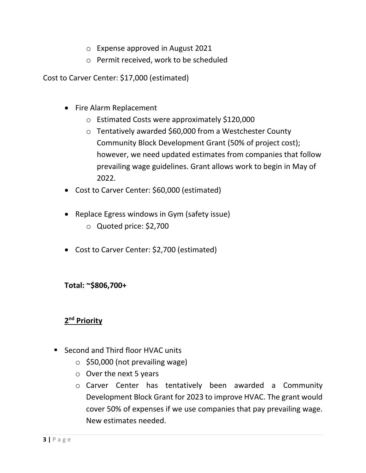- o Expense approved in August 2021
- o Permit received, work to be scheduled

Cost to Carver Center: \$17,000 (estimated)

- Fire Alarm Replacement
	- o Estimated Costs were approximately \$120,000
	- o Tentatively awarded \$60,000 from a Westchester County Community Block Development Grant (50% of project cost); however, we need updated estimates from companies that follow prevailing wage guidelines. Grant allows work to begin in May of 2022.
- Cost to Carver Center: \$60,000 (estimated)
- Replace Egress windows in Gym (safety issue)
	- o Quoted price: \$2,700
- Cost to Carver Center: \$2,700 (estimated)

**Total: ~\$806,700+**

# **2 nd Priority**

- Second and Third floor HVAC units
	- $\circ$  \$50,000 (not prevailing wage)
	- $\circ$  Over the next 5 years
	- o Carver Center has tentatively been awarded a Community Development Block Grant for 2023 to improve HVAC. The grant would cover 50% of expenses if we use companies that pay prevailing wage. New estimates needed.